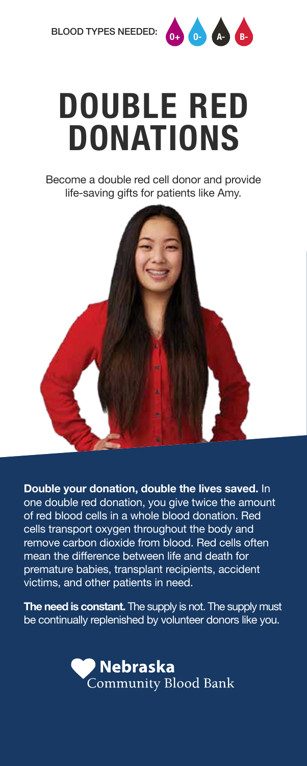

## **DOUBLE RED DONATIONS**

Become a double red cell donor and provide life-saving gifts for patients like Amy.



**Double your donation, double the lives saved.** In one double red donation, you give twice the amount of red blood cells in a whole blood donation. Red cells transport oxygen throughout the body and remove carbon dioxide from blood. Red cells often mean the difference between life and death for premature babies, transplant recipients, accident victims, and other patients in need.

**The need is constant.** The supply is not. The supply must be continually replenished by volunteer donors like you.